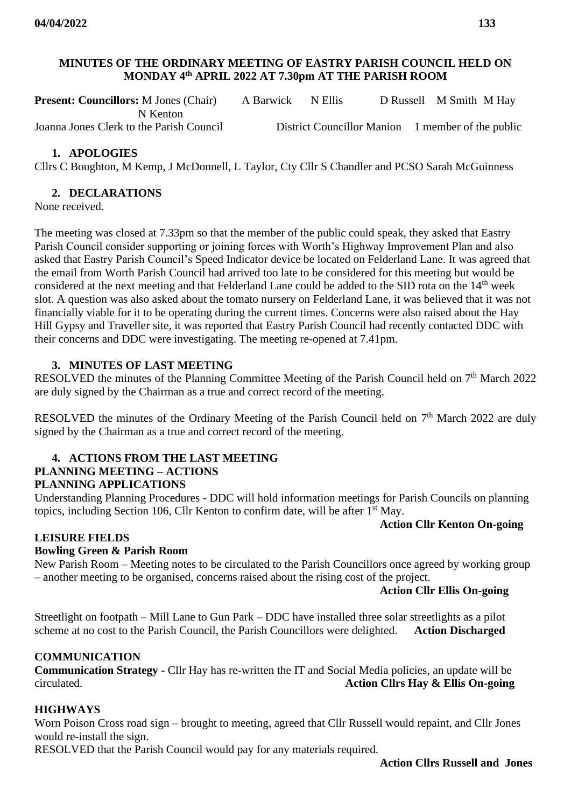# **MINUTES OF THE ORDINARY MEETING OF EASTRY PARISH COUNCIL HELD ON MONDAY 4 th APRIL 2022 AT 7.30pm AT THE PARISH ROOM**

| <b>Present: Councillors:</b> M Jones (Chair) | A Barwick N Ellis |  | D Russell M Smith M Hay                           |
|----------------------------------------------|-------------------|--|---------------------------------------------------|
| N Kenton                                     |                   |  |                                                   |
| Joanna Jones Clerk to the Parish Council     |                   |  | District Councillor Manion 1 member of the public |

## **1. APOLOGIES**

Cllrs C Boughton, M Kemp, J McDonnell, L Taylor, Cty Cllr S Chandler and PCSO Sarah McGuinness

#### **2. DECLARATIONS**

None received.

The meeting was closed at 7.33pm so that the member of the public could speak, they asked that Eastry Parish Council consider supporting or joining forces with Worth's Highway Improvement Plan and also asked that Eastry Parish Council's Speed Indicator device be located on Felderland Lane. It was agreed that the email from Worth Parish Council had arrived too late to be considered for this meeting but would be considered at the next meeting and that Felderland Lane could be added to the SID rota on the 14<sup>th</sup> week slot. A question was also asked about the tomato nursery on Felderland Lane, it was believed that it was not financially viable for it to be operating during the current times. Concerns were also raised about the Hay Hill Gypsy and Traveller site, it was reported that Eastry Parish Council had recently contacted DDC with their concerns and DDC were investigating. The meeting re-opened at 7.41pm.

## **3. MINUTES OF LAST MEETING**

RESOLVED the minutes of the Planning Committee Meeting of the Parish Council held on  $7<sup>th</sup>$  March 2022 are duly signed by the Chairman as a true and correct record of the meeting.

RESOLVED the minutes of the Ordinary Meeting of the Parish Council held on  $7<sup>th</sup>$  March 2022 are duly signed by the Chairman as a true and correct record of the meeting.

#### **4. ACTIONS FROM THE LAST MEETING PLANNING MEETING – ACTIONS PLANNING APPLICATIONS**

Understanding Planning Procedures - DDC will hold information meetings for Parish Councils on planning topics, including Section 106, Cllr Kenton to confirm date, will be after 1st May.

## **Action Cllr Kenton On-going**

## **LEISURE FIELDS**

## **Bowling Green & Parish Room**

New Parish Room – Meeting notes to be circulated to the Parish Councillors once agreed by working group – another meeting to be organised, concerns raised about the rising cost of the project.

#### **Action Cllr Ellis On-going**

Streetlight on footpath – Mill Lane to Gun Park – DDC have installed three solar streetlights as a pilot scheme at no cost to the Parish Council, the Parish Councillors were delighted. **Action Discharged**

## **COMMUNICATION**

**Communication Strategy** - Cllr Hay has re-written the IT and Social Media policies, an update will be circulated. **Action Cllrs Hay & Ellis On-going**

## **HIGHWAYS**

Worn Poison Cross road sign – brought to meeting, agreed that Cllr Russell would repaint, and Cllr Jones would re-install the sign.

RESOLVED that the Parish Council would pay for any materials required.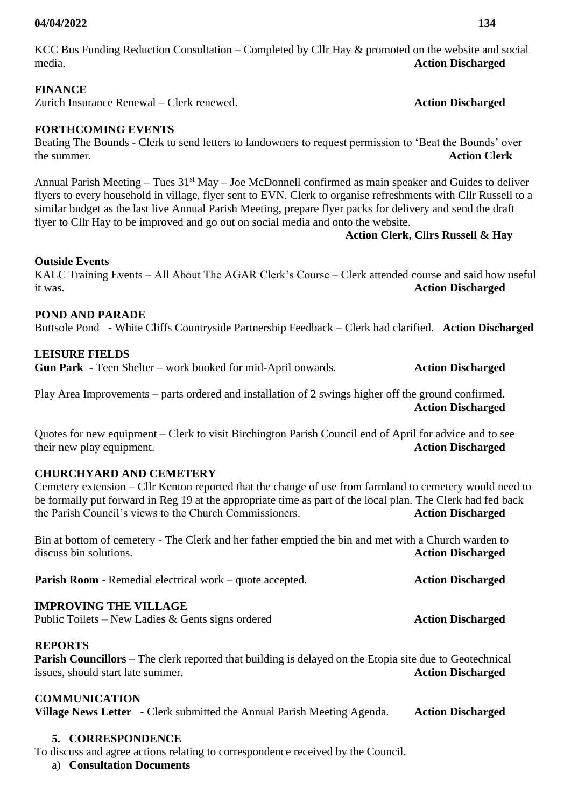## **04/04/2022 134**

KCC Bus Funding Reduction Consultation – Completed by Cllr Hay & promoted on the website and social media. **Action Discharged**

## **FINANCE**

Zurich Insurance Renewal – Clerk renewed. **Action Discharged**

## **FORTHCOMING EVENTS**

Beating The Bounds - Clerk to send letters to landowners to request permission to 'Beat the Bounds' over the summer. **Action Clerk**

Annual Parish Meeting – Tues  $31<sup>st</sup>$  May – Joe McDonnell confirmed as main speaker and Guides to deliver flyers to every household in village, flyer sent to EVN. Clerk to organise refreshments with Cllr Russell to a similar budget as the last live Annual Parish Meeting, prepare flyer packs for delivery and send the draft flyer to Cllr Hay to be improved and go out on social media and onto the website.

#### **Action Clerk, Cllrs Russell & Hay**

## **Outside Events**

KALC Training Events – All About The AGAR Clerk's Course – Clerk attended course and said how useful it was. **Action Discharged**

## **POND AND PARADE**

Buttsole Pond - White Cliffs Countryside Partnership Feedback – Clerk had clarified. **Action Discharged**

## **LEISURE FIELDS**

**Gun Park** - Teen Shelter – work booked for mid-April onwards. **Action Discharged**

Play Area Improvements – parts ordered and installation of 2 swings higher off the ground confirmed. **Action Discharged**

Quotes for new equipment – Clerk to visit Birchington Parish Council end of April for advice and to see their new play equipment. **Action Discharged**

## **CHURCHYARD AND CEMETERY**

Cemetery extension – Cllr Kenton reported that the change of use from farmland to cemetery would need to be formally put forward in Reg 19 at the appropriate time as part of the local plan. The Clerk had fed back the Parish Council's views to the Church Commissioners. **Action Discharged**

Bin at bottom of cemetery - The Clerk and her father emptied the bin and met with a Church warden to discuss bin solutions. **Action Discharged**

**Parish Room -** Remedial electrical work – quote accepted. **Action Discharged** 

## **IMPROVING THE VILLAGE**

Public Toilets – New Ladies & Gents signs ordered **Action Discharged** 

## **REPORTS**

**Parish Councillors –** The clerk reported that building is delayed on the Etopia site due to Geotechnical issues, should start late summer. **Action Discharged**

## **COMMUNICATION**

**Village News Letter -** Clerk submitted the Annual Parish Meeting Agenda. **Action Discharged**

## **5. CORRESPONDENCE**

To discuss and agree actions relating to correspondence received by the Council.

a) **Consultation Documents**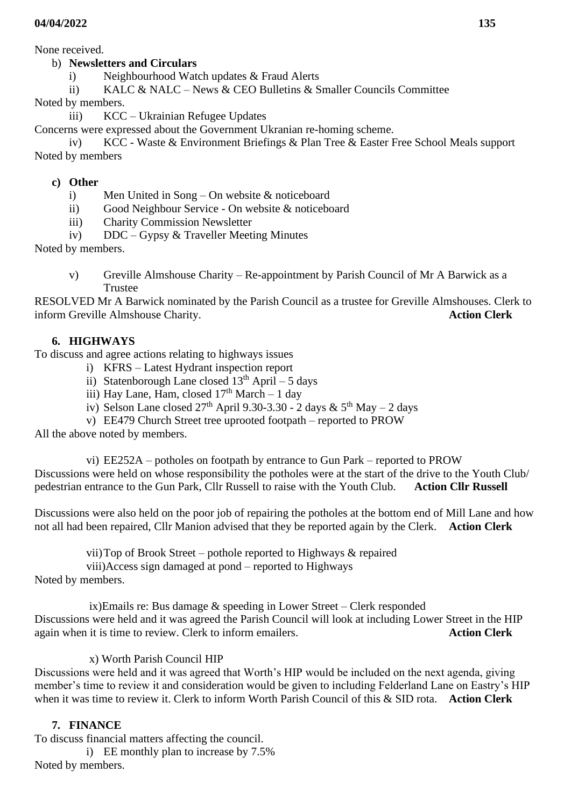None received.

# b) **Newsletters and Circulars**

- i) Neighbourhood Watch updates & Fraud Alerts
- ii) KALC & NALC News & CEO Bulletins & Smaller Councils Committee

Noted by members.

iii) KCC – Ukrainian Refugee Updates

Concerns were expressed about the Government Ukranian re-homing scheme.

iv) KCC - Waste & Environment Briefings & Plan Tree & Easter Free School Meals support Noted by members

# **c) Other**

- i) Men United in Song On website & noticeboard
- ii) Good Neighbour Service On website & noticeboard
- iii) Charity Commission Newsletter
- iv) DDC Gypsy & Traveller Meeting Minutes

Noted by members.

v) Greville Almshouse Charity – Re-appointment by Parish Council of Mr A Barwick as a Trustee

RESOLVED Mr A Barwick nominated by the Parish Council as a trustee for Greville Almshouses. Clerk to inform Greville Almshouse Charity. **Action Clerk**

# **6. HIGHWAYS**

To discuss and agree actions relating to highways issues

- i) KFRS Latest Hydrant inspection report
- ii) Statenborough Lane closed  $13<sup>th</sup>$  April 5 days
- iii) Hay Lane, Ham, closed  $17<sup>th</sup>$  March 1 day
- iv) Selson Lane closed  $27<sup>th</sup>$  April 9.30-3.30 2 days &  $5<sup>th</sup>$  May 2 days

v) EE479 Church Street tree uprooted footpath – reported to PROW

All the above noted by members.

vi) EE252A – potholes on footpath by entrance to Gun Park – reported to PROW Discussions were held on whose responsibility the potholes were at the start of the drive to the Youth Club/ pedestrian entrance to the Gun Park, Cllr Russell to raise with the Youth Club. **Action Cllr Russell** 

Discussions were also held on the poor job of repairing the potholes at the bottom end of Mill Lane and how not all had been repaired, Cllr Manion advised that they be reported again by the Clerk. **Action Clerk**

vii)Top of Brook Street – pothole reported to Highways & repaired viii)Access sign damaged at pond – reported to Highways

Noted by members.

 ix)Emails re: Bus damage & speeding in Lower Street – Clerk responded Discussions were held and it was agreed the Parish Council will look at including Lower Street in the HIP again when it is time to review. Clerk to inform emailers. **Action Clerk**

# x) Worth Parish Council HIP

Discussions were held and it was agreed that Worth's HIP would be included on the next agenda, giving member's time to review it and consideration would be given to including Felderland Lane on Eastry's HIP when it was time to review it. Clerk to inform Worth Parish Council of this & SID rota. **Action Clerk**

# **7. FINANCE**

To discuss financial matters affecting the council. i) EE monthly plan to increase by 7.5% Noted by members.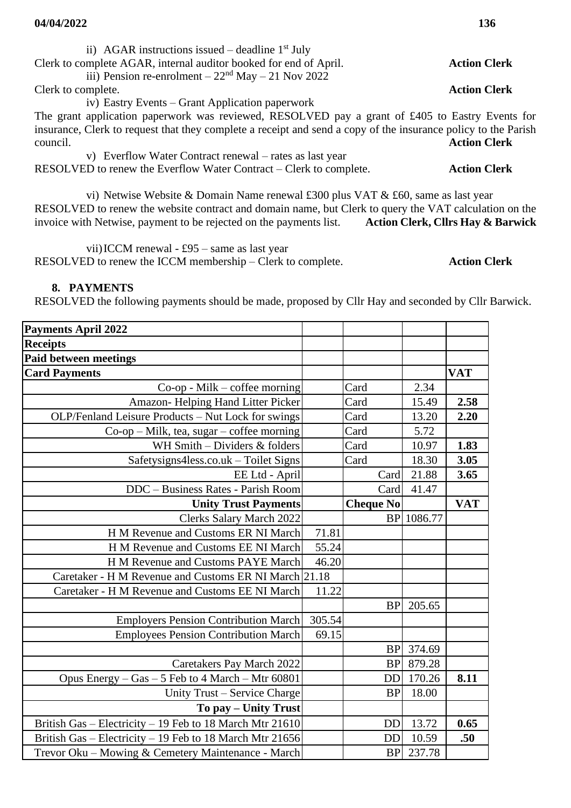| ii) AGAR instructions issued – deadline $1st$ July                                                                                                                                                                                                                                                                   |                     |
|----------------------------------------------------------------------------------------------------------------------------------------------------------------------------------------------------------------------------------------------------------------------------------------------------------------------|---------------------|
| Clerk to complete AGAR, internal auditor booked for end of April.                                                                                                                                                                                                                                                    | <b>Action Clerk</b> |
| iii) Pension re-enrolment $-22nd$ May $-21$ Nov 2022                                                                                                                                                                                                                                                                 |                     |
| Clerk to complete.                                                                                                                                                                                                                                                                                                   | <b>Action Clerk</b> |
| iv) Eastry Events – Grant Application paperwork                                                                                                                                                                                                                                                                      |                     |
| The grant application paperwork was reviewed, RESOLVED pay a grant of £405 to Eastry Events for                                                                                                                                                                                                                      |                     |
| insurance, Clerk to request that they complete a receipt and send a copy of the insurance policy to the Parish                                                                                                                                                                                                       |                     |
| council.                                                                                                                                                                                                                                                                                                             | <b>Action Clerk</b> |
| v) Everflow Water Contract renewal – rates as last year                                                                                                                                                                                                                                                              |                     |
| RESOLVED to renew the Everflow Water Contract – Clerk to complete.                                                                                                                                                                                                                                                   | <b>Action Clerk</b> |
| vi) Netwise Website & Domain Name renewal £300 plus VAT & £60, same as last year<br>$\mathbf{A}$ , and the set of the set of the set of the set of the set of the set of the set of the set of the set of the set of the set of the set of the set of the set of the set of the set of the set of the set of the set |                     |

RESOLVED to renew the website contract and domain name, but Clerk to query the VAT calculation on the invoice with Netwise, payment to be rejected on the payments list. **Action Clerk, Cllrs Hay & Barwick**

vii)ICCM renewal - £95 – same as last year RESOLVED to renew the ICCM membership – Clerk to complete. **Action Clerk**

## **8. PAYMENTS**

RESOLVED the following payments should be made, proposed by Cllr Hay and seconded by Cllr Barwick.

| <b>Payments April 2022</b>                               |        |                  |            |            |
|----------------------------------------------------------|--------|------------------|------------|------------|
| <b>Receipts</b>                                          |        |                  |            |            |
| <b>Paid between meetings</b>                             |        |                  |            |            |
| <b>Card Payments</b>                                     |        |                  |            | <b>VAT</b> |
| $Co$ -op - Milk – coffee morning                         |        | Card             | 2.34       |            |
| Amazon-Helping Hand Litter Picker                        |        | Card             | 15.49      | 2.58       |
| OLP/Fenland Leisure Products - Nut Lock for swings       |        | Card             | 13.20      | 2.20       |
| $Co$ -op – Milk, tea, sugar – coffee morning             |        | Card             | 5.72       |            |
| WH Smith - Dividers & folders                            |        | Card             | 10.97      | 1.83       |
| Safetysigns4less.co.uk – Toilet Signs                    |        | Card             | 18.30      | 3.05       |
| EE Ltd - April                                           |        | Card             | 21.88      | 3.65       |
| DDC - Business Rates - Parish Room                       |        | Card             | 41.47      |            |
| <b>Unity Trust Payments</b>                              |        | <b>Cheque No</b> |            | <b>VAT</b> |
| <b>Clerks Salary March 2022</b>                          |        |                  | BP 1086.77 |            |
| H M Revenue and Customs ER NI March                      | 71.81  |                  |            |            |
| H M Revenue and Customs EE NI March                      | 55.24  |                  |            |            |
| H M Revenue and Customs PAYE March                       | 46.20  |                  |            |            |
| Caretaker - H M Revenue and Customs ER NI March 21.18    |        |                  |            |            |
| Caretaker - H M Revenue and Customs EE NI March          | 11.22  |                  |            |            |
|                                                          |        | <b>BP</b>        | 205.65     |            |
| <b>Employers Pension Contribution March</b>              | 305.54 |                  |            |            |
| <b>Employees Pension Contribution March</b>              | 69.15  |                  |            |            |
|                                                          |        | <b>BP</b>        | 374.69     |            |
| Caretakers Pay March 2022                                |        | <b>BP</b>        | 879.28     |            |
| Opus Energy - Gas - 5 Feb to 4 March - Mtr 60801         |        | <b>DD</b>        | 170.26     | 8.11       |
| Unity Trust – Service Charge                             |        | <b>BP</b>        | 18.00      |            |
| To pay - Unity Trust                                     |        |                  |            |            |
| British Gas – Electricity – 19 Feb to 18 March Mtr 21610 |        | <b>DD</b>        | 13.72      | 0.65       |
| British Gas - Electricity - 19 Feb to 18 March Mtr 21656 |        | <b>DD</b>        | 10.59      | .50        |
| Trevor Oku - Mowing & Cemetery Maintenance - March       |        | <b>BP</b>        | 237.78     |            |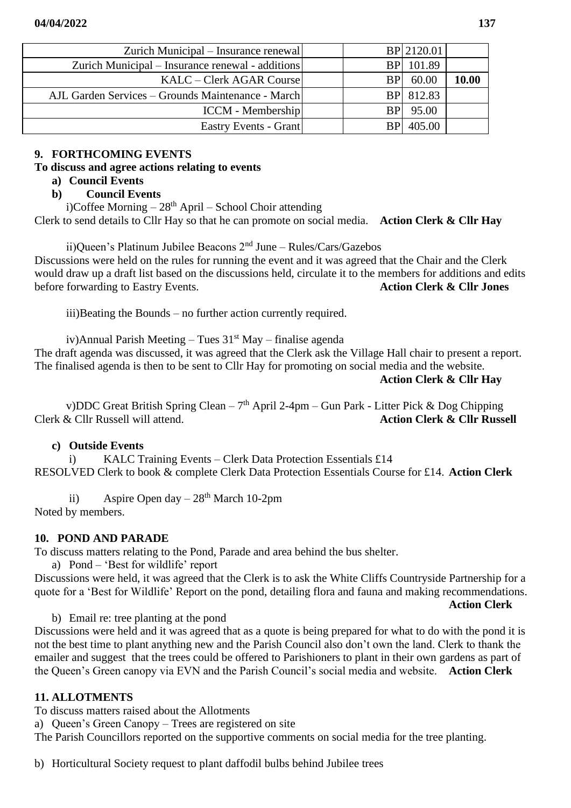| Zurich Municipal – Insurance renewal              |  | BP 2120.01      |              |
|---------------------------------------------------|--|-----------------|--------------|
| Zurich Municipal – Insurance renewal - additions  |  | BP 101.89       |              |
| KALC – Clerk AGAR Course                          |  | 60.00           | <b>10.00</b> |
| AJL Garden Services – Grounds Maintenance - March |  | BP 812.83       |              |
| <b>ICCM</b> - Membership                          |  | <b>BP</b> 95.00 |              |
| Eastry Events - Grant                             |  | 405.00          |              |

## **9. FORTHCOMING EVENTS**

## **To discuss and agree actions relating to events**

## **a) Council Events**

# **b) Council Events**

i)Coffee Morning  $-28<sup>th</sup>$  April – School Choir attending

Clerk to send details to Cllr Hay so that he can promote on social media. **Action Clerk & Cllr Hay**

ii)Queen's Platinum Jubilee Beacons 2nd June – Rules/Cars/Gazebos

Discussions were held on the rules for running the event and it was agreed that the Chair and the Clerk would draw up a draft list based on the discussions held, circulate it to the members for additions and edits before forwarding to Eastry Events. **Action Clerk & Cllr Jones**

iii)Beating the Bounds – no further action currently required.

iv)Annual Parish Meeting – Tues  $31<sup>st</sup>$  May – finalise agenda

The draft agenda was discussed, it was agreed that the Clerk ask the Village Hall chair to present a report. The finalised agenda is then to be sent to Cllr Hay for promoting on social media and the website.

**Action Clerk & Cllr Hay**

**Action Clerk**

v)DDC Great British Spring Clean –  $7<sup>th</sup>$  April 2-4pm – Gun Park - Litter Pick & Dog Chipping Clerk & Cllr Russell will attend. **Action Clerk & Cllr Russell**

# **c) Outside Events**

i) KALC Training Events – Clerk Data Protection Essentials £14 RESOLVED Clerk to book & complete Clerk Data Protection Essentials Course for £14. **Action Clerk**

ii) Aspire Open day  $-28<sup>th</sup>$  March 10-2pm Noted by members.

# **10. POND AND PARADE**

To discuss matters relating to the Pond, Parade and area behind the bus shelter.

a) Pond – 'Best for wildlife' report

Discussions were held, it was agreed that the Clerk is to ask the White Cliffs Countryside Partnership for a quote for a 'Best for Wildlife' Report on the pond, detailing flora and fauna and making recommendations.

b) Email re: tree planting at the pond

Discussions were held and it was agreed that as a quote is being prepared for what to do with the pond it is not the best time to plant anything new and the Parish Council also don't own the land. Clerk to thank the emailer and suggest that the trees could be offered to Parishioners to plant in their own gardens as part of the Queen's Green canopy via EVN and the Parish Council's social media and website. **Action Clerk**

# **11. ALLOTMENTS**

To discuss matters raised about the Allotments

a) Queen's Green Canopy – Trees are registered on site

The Parish Councillors reported on the supportive comments on social media for the tree planting.

b) Horticultural Society request to plant daffodil bulbs behind Jubilee trees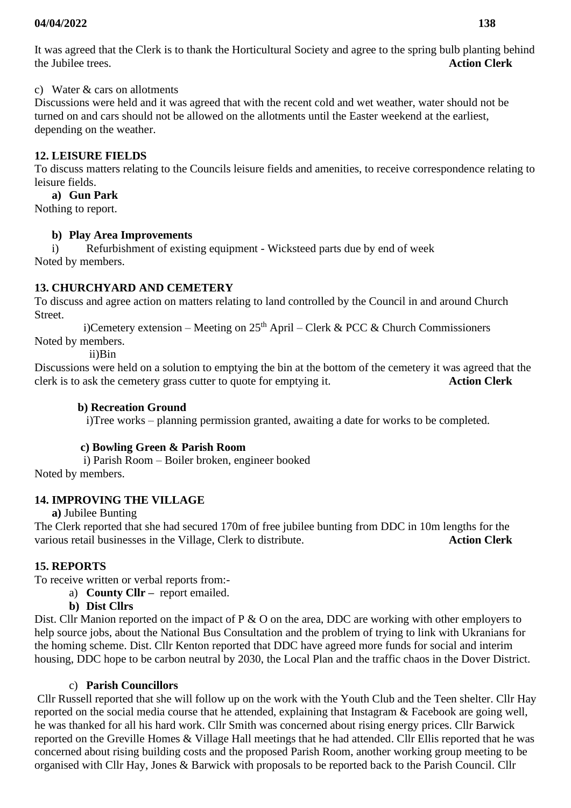c) Water & cars on allotments

Discussions were held and it was agreed that with the recent cold and wet weather, water should not be turned on and cars should not be allowed on the allotments until the Easter weekend at the earliest, depending on the weather.

# **12. LEISURE FIELDS**

To discuss matters relating to the Councils leisure fields and amenities, to receive correspondence relating to leisure fields.

# **a) Gun Park**

Nothing to report.

# **b) Play Area Improvements**

i) Refurbishment of existing equipment - Wicksteed parts due by end of week Noted by members.

# **13. CHURCHYARD AND CEMETERY**

To discuss and agree action on matters relating to land controlled by the Council in and around Church Street.

i)Cemetery extension – Meeting on  $25<sup>th</sup>$  April – Clerk & PCC & Church Commissioners Noted by members.

ii)Bin

Discussions were held on a solution to emptying the bin at the bottom of the cemetery it was agreed that the clerk is to ask the cemetery grass cutter to quote for emptying it. **Action Clerk**

# **b) Recreation Ground**

i)Tree works – planning permission granted, awaiting a date for works to be completed.

# **c) Bowling Green & Parish Room**

 i) Parish Room – Boiler broken, engineer booked Noted by members.

# **14. IMPROVING THE VILLAGE**

**a)** Jubilee Bunting

The Clerk reported that she had secured 170m of free jubilee bunting from DDC in 10m lengths for the various retail businesses in the Village, Clerk to distribute. **Action Clerk** 

# **15. REPORTS**

To receive written or verbal reports from:-

- a) **County Cllr –** report emailed.
- **b) Dist Cllrs**

Dist. Cllr Manion reported on the impact of P  $\&$  O on the area, DDC are working with other employers to help source jobs, about the National Bus Consultation and the problem of trying to link with Ukranians for the homing scheme. Dist. Cllr Kenton reported that DDC have agreed more funds for social and interim housing, DDC hope to be carbon neutral by 2030, the Local Plan and the traffic chaos in the Dover District.

# c) **Parish Councillors**

Cllr Russell reported that she will follow up on the work with the Youth Club and the Teen shelter. Cllr Hay reported on the social media course that he attended, explaining that Instagram & Facebook are going well, he was thanked for all his hard work. Cllr Smith was concerned about rising energy prices. Cllr Barwick reported on the Greville Homes & Village Hall meetings that he had attended. Cllr Ellis reported that he was concerned about rising building costs and the proposed Parish Room, another working group meeting to be organised with Cllr Hay, Jones & Barwick with proposals to be reported back to the Parish Council. Cllr